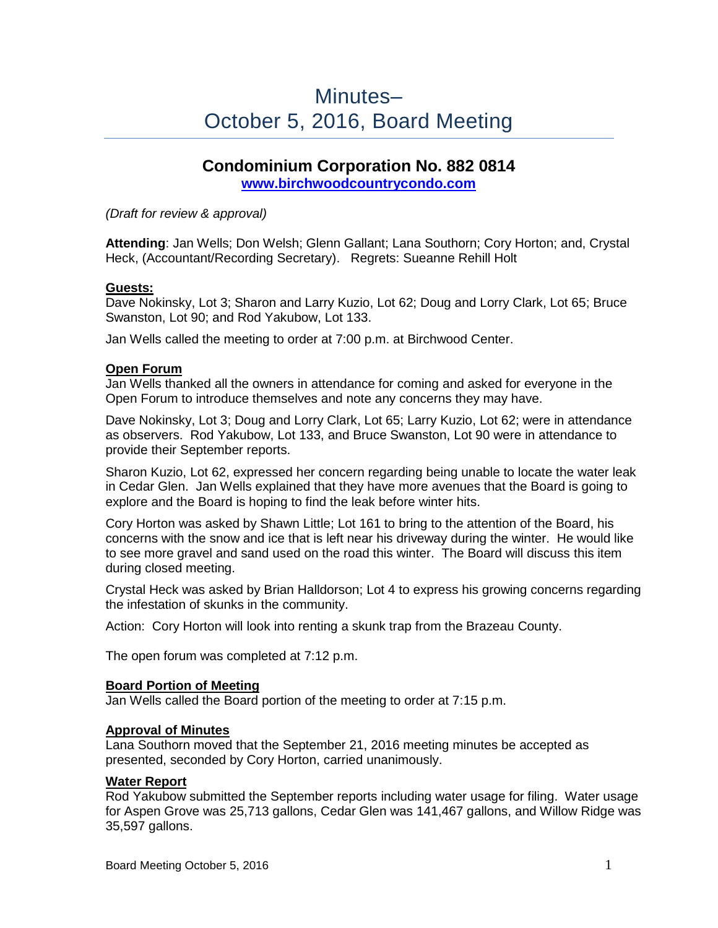# Minutes– October 5, 2016, Board Meeting

## **Condominium Corporation No. 882 0814 [www.birchwoodcountrycondo.com](http://www.birchwoodcountrycondo.com/)**

*(Draft for review & approval)*

**Attending**: Jan Wells; Don Welsh; Glenn Gallant; Lana Southorn; Cory Horton; and, Crystal Heck, (Accountant/Recording Secretary). Regrets: Sueanne Rehill Holt

## **Guests:**

Dave Nokinsky, Lot 3; Sharon and Larry Kuzio, Lot 62; Doug and Lorry Clark, Lot 65; Bruce Swanston, Lot 90; and Rod Yakubow, Lot 133.

Jan Wells called the meeting to order at 7:00 p.m. at Birchwood Center.

#### **Open Forum**

Jan Wells thanked all the owners in attendance for coming and asked for everyone in the Open Forum to introduce themselves and note any concerns they may have.

Dave Nokinsky, Lot 3; Doug and Lorry Clark, Lot 65; Larry Kuzio, Lot 62; were in attendance as observers. Rod Yakubow, Lot 133, and Bruce Swanston, Lot 90 were in attendance to provide their September reports.

Sharon Kuzio, Lot 62, expressed her concern regarding being unable to locate the water leak in Cedar Glen. Jan Wells explained that they have more avenues that the Board is going to explore and the Board is hoping to find the leak before winter hits.

Cory Horton was asked by Shawn Little; Lot 161 to bring to the attention of the Board, his concerns with the snow and ice that is left near his driveway during the winter. He would like to see more gravel and sand used on the road this winter. The Board will discuss this item during closed meeting.

Crystal Heck was asked by Brian Halldorson; Lot 4 to express his growing concerns regarding the infestation of skunks in the community.

Action: Cory Horton will look into renting a skunk trap from the Brazeau County.

The open forum was completed at 7:12 p.m.

#### **Board Portion of Meeting**

Jan Wells called the Board portion of the meeting to order at 7:15 p.m.

## **Approval of Minutes**

Lana Southorn moved that the September 21, 2016 meeting minutes be accepted as presented, seconded by Cory Horton, carried unanimously.

#### **Water Report**

Rod Yakubow submitted the September reports including water usage for filing. Water usage for Aspen Grove was 25,713 gallons, Cedar Glen was 141,467 gallons, and Willow Ridge was 35,597 gallons.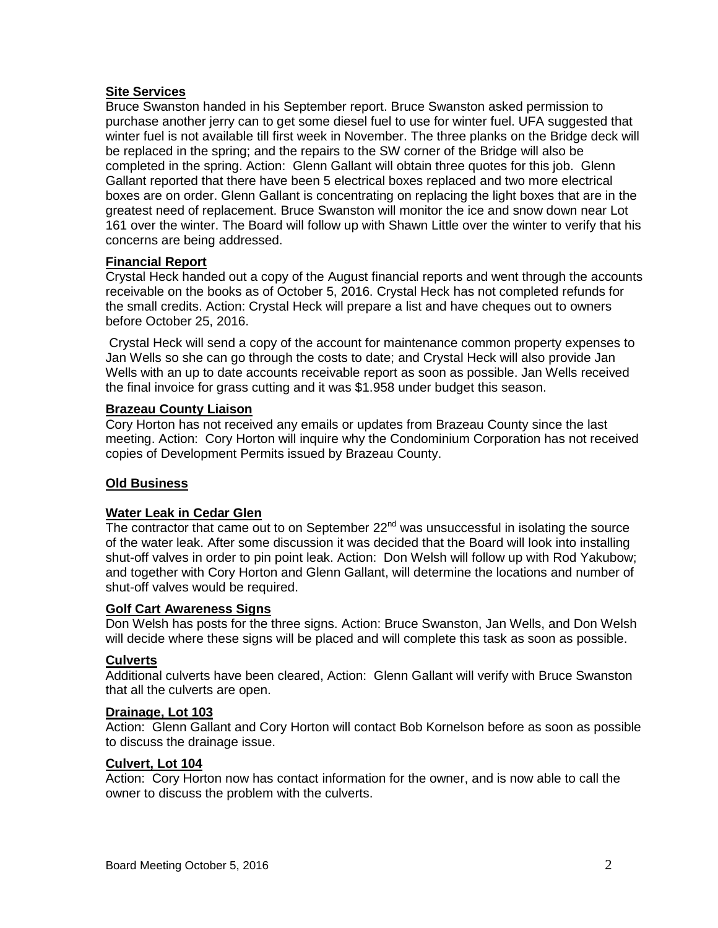## **Site Services**

Bruce Swanston handed in his September report. Bruce Swanston asked permission to purchase another jerry can to get some diesel fuel to use for winter fuel. UFA suggested that winter fuel is not available till first week in November. The three planks on the Bridge deck will be replaced in the spring; and the repairs to the SW corner of the Bridge will also be completed in the spring. Action: Glenn Gallant will obtain three quotes for this job. Glenn Gallant reported that there have been 5 electrical boxes replaced and two more electrical boxes are on order. Glenn Gallant is concentrating on replacing the light boxes that are in the greatest need of replacement. Bruce Swanston will monitor the ice and snow down near Lot 161 over the winter. The Board will follow up with Shawn Little over the winter to verify that his concerns are being addressed.

## **Financial Report**

Crystal Heck handed out a copy of the August financial reports and went through the accounts receivable on the books as of October 5, 2016. Crystal Heck has not completed refunds for the small credits. Action: Crystal Heck will prepare a list and have cheques out to owners before October 25, 2016.

Crystal Heck will send a copy of the account for maintenance common property expenses to Jan Wells so she can go through the costs to date; and Crystal Heck will also provide Jan Wells with an up to date accounts receivable report as soon as possible. Jan Wells received the final invoice for grass cutting and it was \$1.958 under budget this season.

## **Brazeau County Liaison**

Cory Horton has not received any emails or updates from Brazeau County since the last meeting. Action: Cory Horton will inquire why the Condominium Corporation has not received copies of Development Permits issued by Brazeau County.

## **Old Business**

#### **Water Leak in Cedar Glen**

The contractor that came out to on September  $22<sup>nd</sup>$  was unsuccessful in isolating the source of the water leak. After some discussion it was decided that the Board will look into installing shut-off valves in order to pin point leak. Action: Don Welsh will follow up with Rod Yakubow; and together with Cory Horton and Glenn Gallant, will determine the locations and number of shut-off valves would be required.

## **Golf Cart Awareness Signs**

Don Welsh has posts for the three signs. Action: Bruce Swanston, Jan Wells, and Don Welsh will decide where these signs will be placed and will complete this task as soon as possible.

#### **Culverts**

Additional culverts have been cleared, Action: Glenn Gallant will verify with Bruce Swanston that all the culverts are open.

#### **Drainage, Lot 103**

Action: Glenn Gallant and Cory Horton will contact Bob Kornelson before as soon as possible to discuss the drainage issue.

## **Culvert, Lot 104**

Action: Cory Horton now has contact information for the owner, and is now able to call the owner to discuss the problem with the culverts.